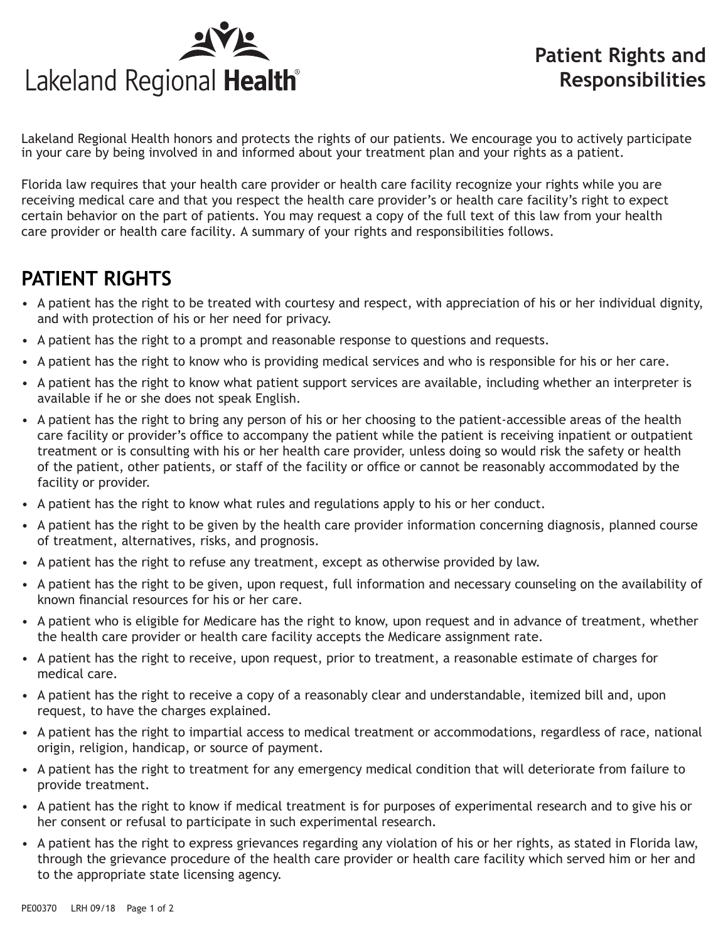

Lakeland Regional Health honors and protects the rights of our patients. We encourage you to actively participate in your care by being involved in and informed about your treatment plan and your rights as a patient.

Florida law requires that your health care provider or health care facility recognize your rights while you are receiving medical care and that you respect the health care provider's or health care facility's right to expect certain behavior on the part of patients. You may request a copy of the full text of this law from your health care provider or health care facility. A summary of your rights and responsibilities follows.

## **PATIENT RIGHTS**

- A patient has the right to be treated with courtesy and respect, with appreciation of his or her individual dignity, and with protection of his or her need for privacy.
- A patient has the right to a prompt and reasonable response to questions and requests.
- A patient has the right to know who is providing medical services and who is responsible for his or her care.
- A patient has the right to know what patient support services are available, including whether an interpreter is available if he or she does not speak English.
- A patient has the right to bring any person of his or her choosing to the patient-accessible areas of the health care facility or provider's office to accompany the patient while the patient is receiving inpatient or outpatient treatment or is consulting with his or her health care provider, unless doing so would risk the safety or health of the patient, other patients, or staff of the facility or office or cannot be reasonably accommodated by the facility or provider.
- A patient has the right to know what rules and regulations apply to his or her conduct.
- A patient has the right to be given by the health care provider information concerning diagnosis, planned course of treatment, alternatives, risks, and prognosis.
- A patient has the right to refuse any treatment, except as otherwise provided by law.
- A patient has the right to be given, upon request, full information and necessary counseling on the availability of known financial resources for his or her care.
- A patient who is eligible for Medicare has the right to know, upon request and in advance of treatment, whether the health care provider or health care facility accepts the Medicare assignment rate.
- A patient has the right to receive, upon request, prior to treatment, a reasonable estimate of charges for medical care.
- A patient has the right to receive a copy of a reasonably clear and understandable, itemized bill and, upon request, to have the charges explained.
- A patient has the right to impartial access to medical treatment or accommodations, regardless of race, national origin, religion, handicap, or source of payment.
- A patient has the right to treatment for any emergency medical condition that will deteriorate from failure to provide treatment.
- A patient has the right to know if medical treatment is for purposes of experimental research and to give his or her consent or refusal to participate in such experimental research.
- A patient has the right to express grievances regarding any violation of his or her rights, as stated in Florida law, through the grievance procedure of the health care provider or health care facility which served him or her and to the appropriate state licensing agency.